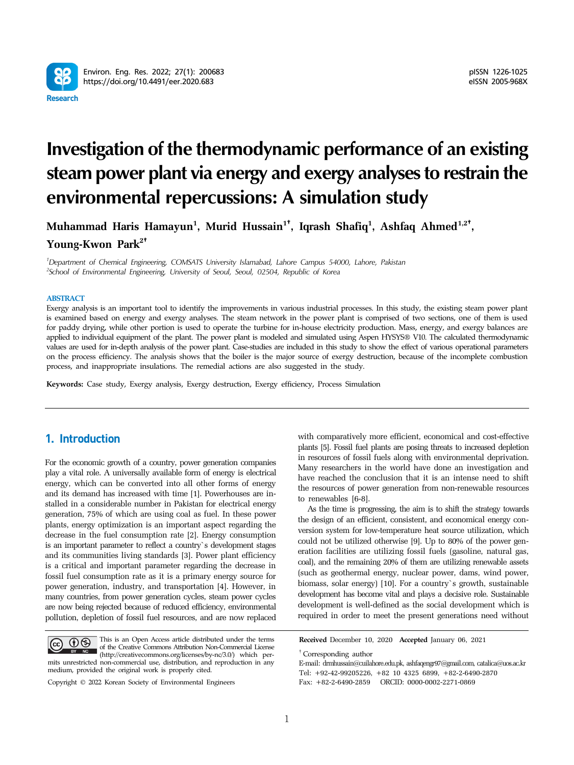

# **Investigation of the thermodynamic performance of an existing steam power plant via energy and exergy analyses to restrain the environmental repercussions: A simulation study**

**Muhammad Haris Hamayun1 , Murid Hussain<sup>1</sup>**†**, Iqrash Shafiq1 , Ashfaq Ahmed1,2**†**, Young-Kwon Park2**†

*1 Department of Chemical Engineering, COMSATS University Islamabad, Lahore Campus 54000, Lahore, Pakistan 2 School of Environmental Engineering, University of Seoul, Seoul, 02504, Republic of Korea*

### **ABSTRACT**

Exergy analysis is an important tool to identify the improvements in various industrial processes. In this study, the existing steam power plant is examined based on energy and exergy analyses. The steam network in the power plant is comprised of two sections, one of them is used for paddy drying, while other portion is used to operate the turbine for in-house electricity production. Mass, energy, and exergy balances are applied to individual equipment of the plant. The power plant is modeled and simulated using Aspen HYSYS® V10. The calculated thermodynamic values are used for in-depth analysis of the power plant. Case-studies are included in this study to show the effect of various operational parameters on the process efficiency. The analysis shows that the boiler is the major source of exergy destruction, because of the incomplete combustion process, and inappropriate insulations. The remedial actions are also suggested in the study.

**Keywords:** Case study, Exergy analysis, Exergy destruction, Exergy efficiency, Process Simulation

# 1. Introduction

For the economic growth of a country, power generation companies play a vital role. A universally available form of energy is electrical energy, which can be converted into all other forms of energy and its demand has increased with time [1]. Powerhouses are installed in a considerable number in Pakistan for electrical energy generation, 75% of which are using coal as fuel. In these power plants, energy optimization is an important aspect regarding the decrease in the fuel consumption rate [2]. Energy consumption is an important parameter to reflect a country`s development stages and its communities living standards [3]. Power plant efficiency is a critical and important parameter regarding the decrease in fossil fuel consumption rate as it is a primary energy source for power generation, industry, and transportation [4]. However, in many countries, from power generation cycles, steam power cycles are now being rejected because of reduced efficiency, environmental pollution, depletion of fossil fuel resources, and are now replaced

This is an Open Access article distributed under the terms of the Creative Commons Attribution Non-Commercial License The Creative Commons Attribution Non-Commercial Licenses of the Creative Commons Attribution Non-Commercial Licenses mits unrestricted non-commercial use, distribution, and reproduction in any medium, provided the original work is properly cited.

Copyright © 2022 Korean Society of Environmental Engineers

with comparatively more efficient, economical and cost-effective plants [5]. Fossil fuel plants are posing threats to increased depletion in resources of fossil fuels along with environmental deprivation. Many researchers in the world have done an investigation and have reached the conclusion that it is an intense need to shift the resources of power generation from non-renewable resources to renewables [6-8].

As the time is progressing, the aim is to shift the strategy towards the design of an efficient, consistent, and economical energy conversion system for low-temperature heat source utilization, which could not be utilized otherwise [9]. Up to 80% of the power generation facilities are utilizing fossil fuels (gasoline, natural gas, coal), and the remaining 20% of them are utilizing renewable assets (such as geothermal energy, nuclear power, dams, wind power, biomass, solar energy) [10]. For a country`s growth, sustainable development has become vital and plays a decisive role. Sustainable development is well-defined as the social development which is required in order to meet the present generations need without

**Received** December 10, 2020 **Accepted** January 06, 2021

† Corresponding author

E-mail: drmhussain@cuilahore.edu.pk, ashfaqengr97@gmail.com, catalica@uos.ac.kr Tel: +92-42-99205226, +82 10 4325 6899, +82-2-6490-2870

Fax: +82-2-6490-2859 ORCID: 0000-0002-2271-0869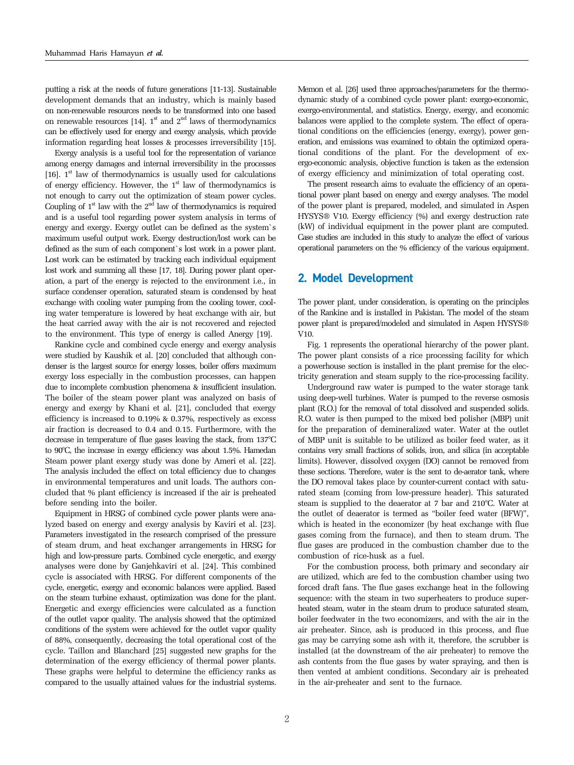putting a risk at the needs of future generations [11-13]. Sustainable development demands that an industry, which is mainly based on non-renewable resources needs to be transformed into one based on renewable resources [14].  $1^{\text{st}}$  and  $2^{\text{nd}}$  laws of thermodynamics can be effectively used for energy and exergy analysis, which provide information regarding heat losses & processes irreversibility [15].

Exergy analysis is a useful tool for the representation of variance among energy damages and internal irreversibility in the processes [16].  $1<sup>st</sup>$  law of thermodynamics is usually used for calculations of energy efficiency. However, the  $1<sup>st</sup>$  law of thermodynamics is not enough to carry out the optimization of steam power cycles. Coupling of  $1<sup>st</sup>$  law with the  $2<sup>nd</sup>$  law of thermodynamics is required and is a useful tool regarding power system analysis in terms of energy and exergy. Exergy outlet can be defined as the system`s maximum useful output work. Exergy destruction/lost work can be defined as the sum of each component`s lost work in a power plant. Lost work can be estimated by tracking each individual equipment lost work and summing all these [17, 18]. During power plant operation, a part of the energy is rejected to the environment i.e., in surface condenser operation, saturated steam is condensed by heat exchange with cooling water pumping from the cooling tower, cooling water temperature is lowered by heat exchange with air, but the heat carried away with the air is not recovered and rejected to the environment. This type of energy is called Anergy [19].

Rankine cycle and combined cycle energy and exergy analysis were studied by Kaushik et al. [20] concluded that although condenser is the largest source for energy losses, boiler offers maximum exergy loss especially in the combustion processes, can happen due to incomplete combustion phenomena & insufficient insulation. The boiler of the steam power plant was analyzed on basis of energy and exergy by Khani et al. [21], concluded that exergy efficiency is increased to 0.19% & 0.37%, respectively as excess air fraction is decreased to 0.4 and 0.15. Furthermore, with the decrease in temperature of flue gases leaving the stack, from 137°C to 90°C, the increase in exergy efficiency was about 1.5%. Hamedan Steam power plant exergy study was done by Ameri et al. [22]. The analysis included the effect on total efficiency due to changes in environmental temperatures and unit loads. The authors concluded that % plant efficiency is increased if the air is preheated before sending into the boiler.

Equipment in HRSG of combined cycle power plants were analyzed based on energy and exergy analysis by Kaviri et al. [23]. Parameters investigated in the research comprised of the pressure of steam drum, and heat exchanger arrangements in HRSG for high and low-pressure parts. Combined cycle energetic, and exergy analyses were done by Ganjehkaviri et al. [24]. This combined cycle is associated with HRSG. For different components of the cycle, energetic, exergy and economic balances were applied. Based on the steam turbine exhaust, optimization was done for the plant. Energetic and exergy efficiencies were calculated as a function of the outlet vapor quality. The analysis showed that the optimized conditions of the system were achieved for the outlet vapor quality of 88%, consequently, decreasing the total operational cost of the cycle. Taillon and Blanchard [25] suggested new graphs for the determination of the exergy efficiency of thermal power plants. These graphs were helpful to determine the efficiency ranks as compared to the usually attained values for the industrial systems. Memon et al. [26] used three approaches/parameters for the thermodynamic study of a combined cycle power plant: exergo-economic, exergo-environmental, and statistics. Energy, exergy, and economic balances were applied to the complete system. The effect of operational conditions on the efficiencies (energy, exergy), power generation, and emissions was examined to obtain the optimized operational conditions of the plant. For the development of exergo-economic analysis, objective function is taken as the extension of exergy efficiency and minimization of total operating cost.

The present research aims to evaluate the efficiency of an operational power plant based on energy and exergy analyses. The model of the power plant is prepared, modeled, and simulated in Aspen HYSYS® V10. Exergy efficiency (%) and exergy destruction rate (kW) of individual equipment in the power plant are computed. Case studies are included in this study to analyze the effect of various operational parameters on the % efficiency of the various equipment.

## 2. Model Development

The power plant, under consideration, is operating on the principles of the Rankine and is installed in Pakistan. The model of the steam power plant is prepared/modeled and simulated in Aspen HYSYS® V10.

Fig. 1 represents the operational hierarchy of the power plant. The power plant consists of a rice processing facility for which a powerhouse section is installed in the plant premise for the electricity generation and steam supply to the rice-processing facility.

Underground raw water is pumped to the water storage tank using deep-well turbines. Water is pumped to the reverse osmosis plant (R.O.) for the removal of total dissolved and suspended solids. R.O. water is then pumped to the mixed bed polisher (MBP) unit for the preparation of demineralized water. Water at the outlet of MBP unit is suitable to be utilized as boiler feed water, as it contains very small fractions of solids, iron, and silica (in acceptable limits). However, dissolved oxygen (DO) cannot be removed from these sections. Therefore, water is the sent to de-aerator tank, where the DO removal takes place by counter-current contact with saturated steam (coming from low-pressure header). This saturated steam is supplied to the deaerator at 7 bar and 210°C. Water at the outlet of deaerator is termed as "boiler feed water (BFW)", which is heated in the economizer (by heat exchange with flue gases coming from the furnace), and then to steam drum. The flue gases are produced in the combustion chamber due to the combustion of rice-husk as a fuel.

For the combustion process, both primary and secondary air are utilized, which are fed to the combustion chamber using two forced draft fans. The flue gases exchange heat in the following sequence: with the steam in two superheaters to produce superheated steam, water in the steam drum to produce saturated steam, boiler feedwater in the two economizers, and with the air in the air preheater. Since, ash is produced in this process, and flue gas may be carrying some ash with it, therefore, the scrubber is installed (at the downstream of the air preheater) to remove the ash contents from the flue gases by water spraying, and then is then vented at ambient conditions. Secondary air is preheated in the air-preheater and sent to the furnace.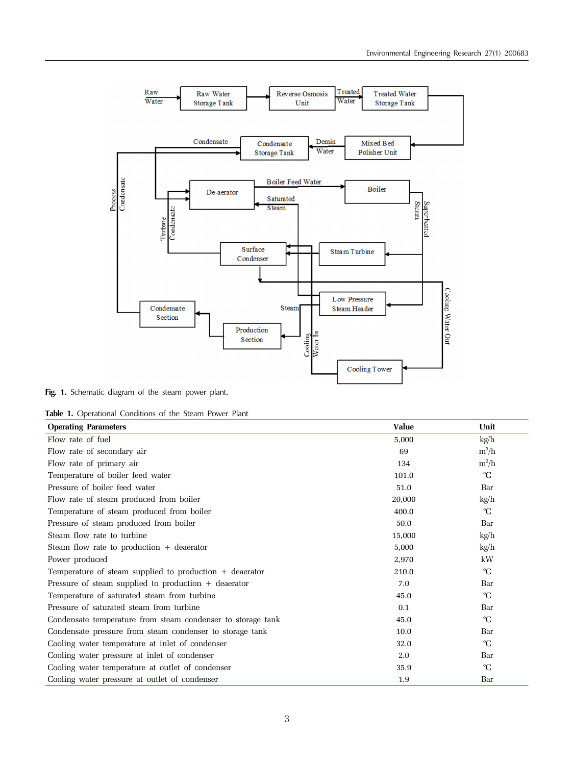

Fig. 1. Schematic diagram of the steam power plant.

**Table 1.** Operational Conditions of the Steam Power Plant

| <b>Operating Parameters</b>                                 | <b>Value</b> | Unit         |
|-------------------------------------------------------------|--------------|--------------|
| Flow rate of fuel                                           | 5,000        | kg/h         |
| Flow rate of secondary air                                  | 69           | $m^3/h$      |
| Flow rate of primary air                                    | 134          | $m^3/h$      |
| Temperature of boiler feed water                            | 101.0        | $\mathrm{C}$ |
| Pressure of boiler feed water                               | 51.0         | Bar          |
| Flow rate of steam produced from boiler                     | 20,000       | kg/h         |
| Temperature of steam produced from boiler                   | 400.0        | $\mathrm{C}$ |
| Pressure of steam produced from boiler                      | 50.0         | Bar          |
| Steam flow rate to turbine                                  | 15,000       | kg/h         |
| Steam flow rate to production $+$ deaerator                 | 5,000        | kg/h         |
| Power produced                                              | 2,970        | kW           |
| Temperature of steam supplied to production $+$ deaerator   | 210.0        | $\mathrm{C}$ |
| Pressure of steam supplied to production $+$ deaerator      | 7.0          | Bar          |
| Temperature of saturated steam from turbine                 | 45.0         | $\mathrm{C}$ |
| Pressure of saturated steam from turbine                    | 0.1          | Bar          |
| Condensate temperature from steam condenser to storage tank | 45.0         | $\mathrm{C}$ |
| Condensate pressure from steam condenser to storage tank    | 10.0         | Bar          |
| Cooling water temperature at inlet of condenser             | 32.0         | $\mathrm{C}$ |
| Cooling water pressure at inlet of condenser                | 2.0          | Bar          |
| Cooling water temperature at outlet of condenser            | 35.9         | $^{\circ}C$  |
| Cooling water pressure at outlet of condenser               | 1.9          | Bar          |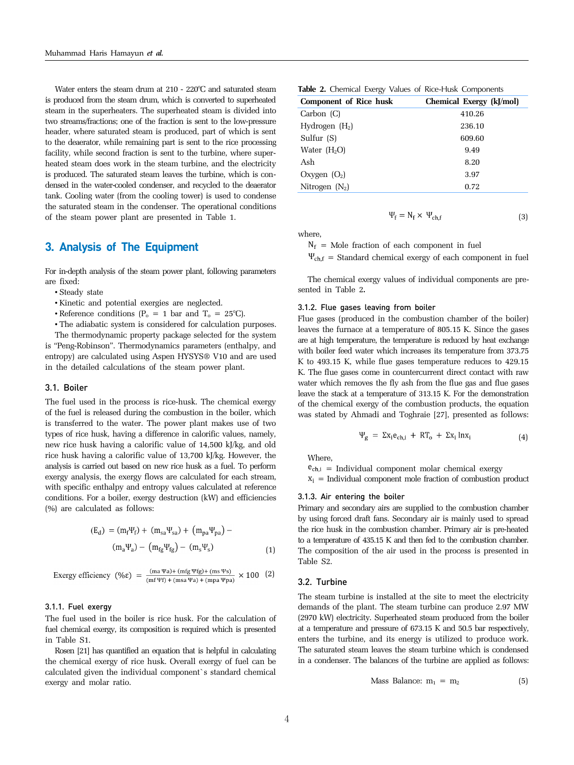Water enters the steam drum at 210 - 220°C and saturated steam is produced from the steam drum, which is converted to superheated steam in the superheaters. The superheated steam is divided into two streams/fractions; one of the fraction is sent to the low-pressure header, where saturated steam is produced, part of which is sent to the deaerator, while remaining part is sent to the rice processing facility, while second fraction is sent to the turbine, where superheated steam does work in the steam turbine, and the electricity is produced. The saturated steam leaves the turbine, which is condensed in the water-cooled condenser, and recycled to the deaerator tank. Cooling water (from the cooling tower) is used to condense the saturated steam in the condenser. The operational conditions of the steam power plant are presented in Table 1.

## 3. Analysis of The Equipment

For in-depth analysis of the steam power plant, following parameters are fixed:

- Steady state
- Kinetic and potential exergies are neglected.
- Reference conditions  $(P_0 = 1$  bar and  $T_0 = 25^{\circ}C$ .
- The adiabatic system is considered for calculation purposes.

The thermodynamic property package selected for the system is "Peng-Robinson". Thermodynamics parameters (enthalpy, and entropy) are calculated using Aspen HYSYS® V10 and are used in the detailed calculations of the steam power plant.

### 3.1. Boiler

The fuel used in the process is rice-husk. The chemical exergy of the fuel is released during the combustion in the boiler, which is transferred to the water. The power plant makes use of two types of rice husk, having a difference in calorific values, namely, new rice husk having a calorific value of 14,500 kJ/kg, and old rice husk having a calorific value of 13,700 kJ/kg. However, the analysis is carried out based on new rice husk as a fuel. To perform exergy analysis, the exergy flows are calculated for each stream, with specific enthalpy and entropy values calculated at reference conditions. For a boiler, exergy destruction (kW) and efficiencies (%) are calculated as follows:

$$
(E_d) = (m_f \Psi_f) + (m_{sa} \Psi_{sa}) + (m_{pa} \Psi_{pa}) - (m_a \Psi_a) - (m_{fg} \Psi_{fg}) - (m_s \Psi_s)
$$
\n(1)

$$
Exercise y efficiency (% \epsilon) = \frac{(ma \Psi a) + (mfg \Psi fg) + (ms \Psi s)}{(mf \Psi f) + (ms \Psi a) + (mpa \Psi pa)} \times 100 (2)
$$

## 3.1.1. Fuel exergy

The fuel used in the boiler is rice husk. For the calculation of fuel chemical exergy, its composition is required which is presented in Table S1.

Rosen [21] has quantified an equation that is helpful in calculating the chemical exergy of rice husk. Overall exergy of fuel can be calculated given the individual component`s standard chemical exergy and molar ratio.

| Table 2. Chemical Exergy Values of Rice-Husk Components |  |  |  |  |
|---------------------------------------------------------|--|--|--|--|
|---------------------------------------------------------|--|--|--|--|

| <b>Component of Rice husk</b> | Chemical Exergy (kJ/mol) |
|-------------------------------|--------------------------|
| Carbon (C)                    | 410.26                   |
| Hydrogen $(H_2)$              | 236.10                   |
| Sulfur $(S)$                  | 609.60                   |
| Water $(H2O)$                 | 9.49                     |
| Ash                           | 8.20                     |
| Oxygen $(O_2)$                | 3.97                     |
| Nitrogen $(N_2)$              | 0.72                     |

where,

 $N_f$  = Mole fraction of each component in fuel

 $\Psi_{ch,f}$  = Standard chemical exergy of each component in fuel

 $\Psi_f = N_f \times \Psi_{ch,f}$ 

(3)

The chemical exergy values of individual components are presented in Table 2**.**

#### 3.1.2. Flue gases leaving from boiler

Flue gases (produced in the combustion chamber of the boiler) leaves the furnace at a temperature of 805.15 K. Since the gases are at high temperature, the temperature is reduced by heat exchange with boiler feed water which increases its temperature from 373.75 K to 493.15 K, while flue gases temperature reduces to 429.15 K. The flue gases come in countercurrent direct contact with raw water which removes the fly ash from the flue gas and flue gases leave the stack at a temperature of 313.15 K. For the demonstration of the chemical exergy of the combustion products, the equation was stated by Ahmadi and Toghraie [27], presented as follows:

$$
\Psi_{g} = \Sigma x_{i} e_{ch,i} + RT_{o} + \Sigma x_{i} \ln x_{i}
$$
\n(4)

Where,

 $e_{ch,i}$  = Individual component molar chemical exergy  $X_i$  = Individual component mole fraction of combustion product

## 3.1.3. Air entering the boiler

Primary and secondary airs are supplied to the combustion chamber by using forced draft fans. Secondary air is mainly used to spread the rice husk in the combustion chamber. Primary air is pre-heated to a temperature of 435.15 K and then fed to the combustion chamber. The composition of the air used in the process is presented in Table S2.

### 3.2. Turbine

The steam turbine is installed at the site to meet the electricity demands of the plant. The steam turbine can produce 2.97 MW (2970 kW) electricity. Superheated steam produced from the boiler at a temperature and pressure of 673.15 K and 50.5 bar respectively, enters the turbine, and its energy is utilized to produce work. The saturated steam leaves the steam turbine which is condensed in a condenser. The balances of the turbine are applied as follows:

Mass Balance: 
$$
m_1 = m_2
$$
 (5)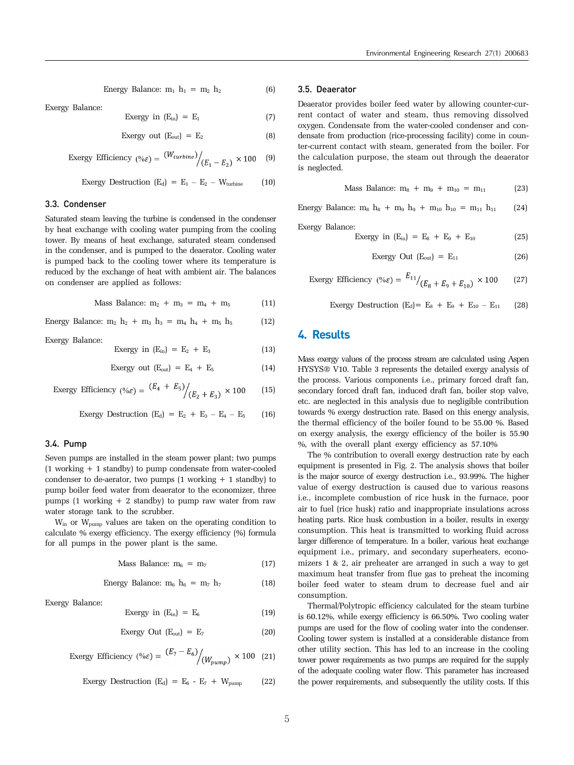Energy Balance: 
$$
m_1 h_1 = m_2 h_2
$$
 (6)

Exergy Balance:

$$
Exergy in (E_{in}) = E_1 \tag{7}
$$

$$
Exergy out (Eout) = E2
$$
 (8)

$$
\text{Exergy Efficiency } (\% \varepsilon) = \frac{(W_{turbine})}{(E_1 - E_2)} \times 100 \quad (9)
$$

$$
Every\;Destruction\; (E_d) = E_1 - E_2 - W_{turbine} \qquad (10)
$$

#### 3.3. Condenser

Saturated steam leaving the turbine is condensed in the condenser by heat exchange with cooling water pumping from the cooling tower. By means of heat exchange, saturated steam condensed in the condenser, and is pumped to the deaerator. Cooling water is pumped back to the cooling tower where its temperature is reduced by the exchange of heat with ambient air. The balances on condenser are applied as follows:

Mass Balance: 
$$
m_2 + m_3 = m_4 + m_5
$$
 (11)

Energy Balance:  $m_2 h_2 + m_3 h_3 = m_4 h_4 + m_5 h_5$  (12)

Exergy Balance:

$$
Exergy in (Ein) = E2 + E3
$$
 (13)

$$
Exergy out (Eout) = E4 + E5
$$
 (14)

$$
\text{Exergy Efficiency } (\% \varepsilon) = \frac{(E_4 + E_5)}{(E_2 + E_3)} \times 100 \tag{15}
$$

$$
Exergy \text{ Destruction } (E_d) = E_2 + E_3 - E_4 - E_5 \tag{16}
$$

## 3.4. Pump

Seven pumps are installed in the steam power plant; two pumps (1 working + 1 standby) to pump condensate from water-cooled condenser to de-aerator, two pumps  $(1 \text{ working } + 1 \text{ standbv})$  to pump boiler feed water from deaerator to the economizer, three pumps (1 working  $+ 2$  standby) to pump raw water from raw water storage tank to the scrubber.

 $W_{\text{in}}$  or  $W_{\text{num}}$  values are taken on the operating condition to calculate % exergy efficiency. The exergy efficiency (%) formula for all pumps in the power plant is the same.

$$
Mass Balance: m_6 = m_7 \tag{17}
$$

Energy Balance: 
$$
m_6 h_6 = m_7 h_7
$$
 (18)

Exergy Balance:

$$
Exergy in (E_{in}) = E_6 \tag{19}
$$

$$
Exergy Out (E_{out}) = E_7
$$
 (20)

$$
\text{Exergy Efficiency } (\% \varepsilon) = \frac{(E_7 - E_6)}{(W_{pump})} \times 100 \quad (21)
$$

$$
Exergy \text{ Destruction } (E_d) = E_6 - E_7 + W_{pump} \tag{22}
$$

### 3.5. Deaerator

Deaerator provides boiler feed water by allowing counter-current contact of water and steam, thus removing dissolved oxygen. Condensate from the water-cooled condenser and condensate from production (rice-processing facility) come in counter-current contact with steam, generated from the boiler. For the calculation purpose, the steam out through the deaerator is neglected.

Mass Balance: 
$$
m_8 + m_9 + m_{10} = m_{11}
$$
 (23)

Energy Balance:  $m_8 h_8 + m_9 h_9 + m_{10} h_{10} = m_{11} h_{11}$  (24)

Exergy Balance:

$$
Exergy in (E_{in}) = E_8 + E_9 + E_{10}
$$
 (25)

$$
Exergy Out (Eout) = E11
$$
 (26)

$$
\text{Exergy Efficiency } (\% \varepsilon) = \frac{E_{11}}{E_8 + E_9 + E_{10}} \times 100 \tag{27}
$$

$$
Exergy Description (Ed) = E8 + E9 + E10 - E11 (28)
$$

## 4. Results

Mass exergy values of the process stream are calculated using Aspen HYSYS® V10. Table 3 represents the detailed exergy analysis of the process. Various components i.e., primary forced draft fan, secondary forced draft fan, induced draft fan, boiler stop valve, etc. are neglected in this analysis due to negligible contribution towards % exergy destruction rate. Based on this energy analysis, the thermal efficiency of the boiler found to be 55.00 %. Based on exergy analysis, the exergy efficiency of the boiler is 55.90 %, with the overall plant exergy efficiency as 57.10%

The % contribution to overall exergy destruction rate by each equipment is presented in Fig. 2. The analysis shows that boiler is the major source of exergy destruction i.e., 93.99%. The higher value of exergy destruction is caused due to various reasons i.e., incomplete combustion of rice husk in the furnace, poor air to fuel (rice husk) ratio and inappropriate insulations across heating parts. Rice husk combustion in a boiler, results in exergy consumption. This heat is transmitted to working fluid across larger difference of temperature. In a boiler, various heat exchange equipment i.e., primary, and secondary superheaters, economizers 1 & 2, air preheater are arranged in such a way to get maximum heat transfer from flue gas to preheat the incoming boiler feed water to steam drum to decrease fuel and air consumption.

Thermal/Polytropic efficiency calculated for the steam turbine is 60.12%, while exergy efficiency is 66.50%. Two cooling water pumps are used for the flow of cooling water into the condenser. Cooling tower system is installed at a considerable distance from other utility section. This has led to an increase in the cooling tower power requirements as two pumps are required for the supply of the adequate cooling water flow. This parameter has increased the power requirements, and subsequently the utility costs. If this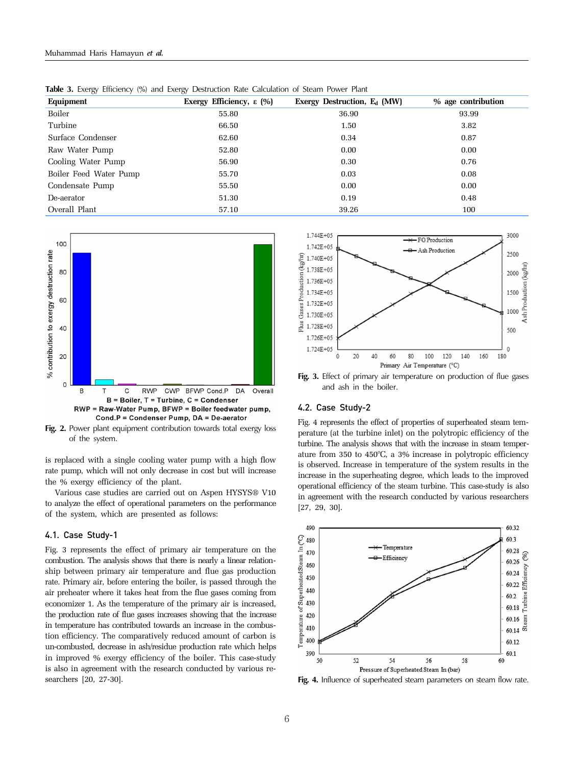| Equipment              | Exergy Efficiency, $\epsilon$ (%) | Exergy Destruction, $E_d$ (MW) | % age contribution |
|------------------------|-----------------------------------|--------------------------------|--------------------|
| Boiler                 | 55.80                             | 36.90                          | 93.99              |
| Turbine                | 66.50                             | 1.50                           | 3.82               |
| Surface Condenser      | 62.60                             | 0.34                           | 0.87               |
| Raw Water Pump         | 52.80                             | 0.00                           | 0.00               |
| Cooling Water Pump     | 56.90                             | 0.30                           | 0.76               |
| Boiler Feed Water Pump | 55.70                             | 0.03                           | 0.08               |
| Condensate Pump        | 55.50                             | 0.00                           | 0.00               |
| De-aerator             | 51.30                             | 0.19                           | 0.48               |
| Overall Plant          | 57.10                             | 39.26                          | 100                |

**Table 3.** Exergy Efficiency (%) and Exergy Destruction Rate Calculation of Steam Power Plant



**Fig. 2.** Power plant equipment contribution towards total exergy loss of the system.

is replaced with a single cooling water pump with a high flow rate pump, which will not only decrease in cost but will increase the % exergy efficiency of the plant.

Various case studies are carried out on Aspen HYSYS® V10 to analyze the effect of operational parameters on the performance of the system, which are presented as follows:

#### 4.1. Case Study-1

Fig. 3 represents the effect of primary air temperature on the combustion. The analysis shows that there is nearly a linear relationship between primary air temperature and flue gas production rate. Primary air, before entering the boiler, is passed through the air preheater where it takes heat from the flue gases coming from economizer 1. As the temperature of the primary air is increased, the production rate of flue gases increases showing that the increase in temperature has contributed towards an increase in the combustion efficiency. The comparatively reduced amount of carbon is un-combusted, decrease in ash/residue production rate which helps in improved % exergy efficiency of the boiler. This case-study is also in agreement with the research conducted by various researchers [20, 27-30].



**Fig. 3.** Effect of primary air temperature on production of flue gases and ash in the boiler.

## 4.2. Case Study-2

Fig. 4 represents the effect of properties of superheated steam temperature (at the turbine inlet) on the polytropic efficiency of the turbine. The analysis shows that with the increase in steam temperature from 350 to 450°C, a 3% increase in polytropic efficiency is observed. Increase in temperature of the system results in the increase in the superheating degree, which leads to the improved operational efficiency of the steam turbine. This case-study is also in agreement with the research conducted by various researchers [27, 29, 30].



Fig. 4. Influence of superheated steam parameters on steam flow rate.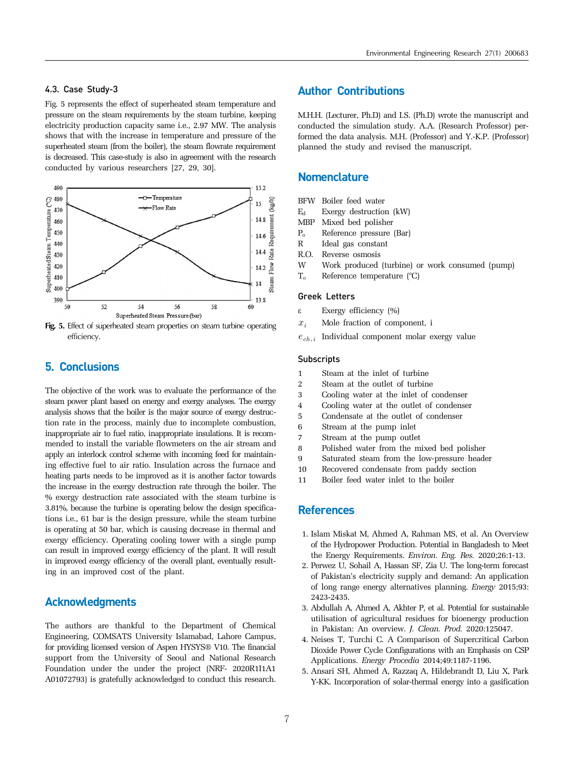## 4.3. Case Study-3

Fig. 5 represents the effect of superheated steam temperature and pressure on the steam requirements by the steam turbine, keeping electricity production capacity same i.e., 2.97 MW. The analysis shows that with the increase in temperature and pressure of the superheated steam (from the boiler), the steam flowrate requirement is decreased. This case-study is also in agreement with the research conducted by various researchers [27, 29, 30].



**Fig. 5.** Effect of superheated steam properties on steam turbine operating efficiency.

## 5. Conclusions

The objective of the work was to evaluate the performance of the steam power plant based on energy and exergy analyses. The exergy analysis shows that the boiler is the major source of exergy destruction rate in the process, mainly due to incomplete combustion, inappropriate air to fuel ratio, inappropriate insulations. It is recommended to install the variable flowmeters on the air stream and apply an interlock control scheme with incoming feed for maintaining effective fuel to air ratio. Insulation across the furnace and heating parts needs to be improved as it is another factor towards the increase in the exergy destruction rate through the boiler. The % exergy destruction rate associated with the steam turbine is 3.81%, because the turbine is operating below the design specifications i.e., 61 bar is the design pressure, while the steam turbine is operating at 50 bar, which is causing decrease in thermal and exergy efficiency. Operating cooling tower with a single pump can result in improved exergy efficiency of the plant. It will result in improved exergy efficiency of the overall plant, eventually resulting in an improved cost of the plant.

# Acknowledgments

The authors are thankful to the Department of Chemical Engineering, COMSATS University Islamabad, Lahore Campus, for providing licensed version of Aspen HYSYS® V10. The financial support from the University of Seoul and National Research Foundation under the under the project (NRF- 2020R1I1A1 A01072793) is gratefully acknowledged to conduct this research.

## Author Contributions

M.H.H. (Lecturer, Ph.D) and I.S. (Ph.D) wrote the manuscript and conducted the simulation study. A.A. (Research Professor) performed the data analysis. M.H. (Professor) and Y.-K.P. (Professor) planned the study and revised the manuscript.

## **Nomenclature**

- BFW Boiler feed water
- $E_d$  Exergy destruction (kW)
- MBP Mixed bed polisher
- Po Reference pressure (Bar)
- R Ideal gas constant
- R.O. Reverse osmosis
- W Work produced (turbine) or work consumed (pump)
- $T_0$  Reference temperature  $(°C)$

## Greek Letters

- ε Exergy efficiency (%)
- $x_i$  Mole fraction of component, i
- $e_{\mathit{ch},\mathit{i}}\;$  Individual component molar exergy value

### **Subscripts**

- 1 Steam at the inlet of turbine
- 2 Steam at the outlet of turbine
- 3 Cooling water at the inlet of condenser
- 4 Cooling water at the outlet of condenser
- 5 Condensate at the outlet of condenser
- 6 Stream at the pump inlet
- 7 Stream at the pump outlet
- 8 Polished water from the mixed bed polisher
- 9 Saturated steam from the low-pressure header
- 10 Recovered condensate from paddy section
- 11 Boiler feed water inlet to the boiler

## **References**

- 1. Islam Miskat M, Ahmed A, Rahman MS, et al. An Overview of the Hydropower Production. Potential in Bangladesh to Meet the Energy Requirements. *Environ. Eng. Res.* 2020;26:1-13.
- 2. Perwez U, Sohail A, Hassan SF, Zia U. The long-term forecast of Pakistan's electricity supply and demand: An application of long range energy alternatives planning. *Energy* 2015;93: 2423-2435.
- 3. Abdullah A, Ahmed A, Akhter P, et al. Potential for sustainable utilisation of agricultural residues for bioenergy production in Pakistan: An overview. *J. Clean. Prod.* 2020:125047.
- 4. Neises T, Turchi C. A Comparison of Supercritical Carbon Dioxide Power Cycle Configurations with an Emphasis on CSP Applications. *Energy Procedia* 2014;49:1187-1196.
- 5. Ansari SH, Ahmed A, Razzaq A, Hildebrandt D, Liu X, Park Y-KK. Incorporation of solar-thermal energy into a gasification